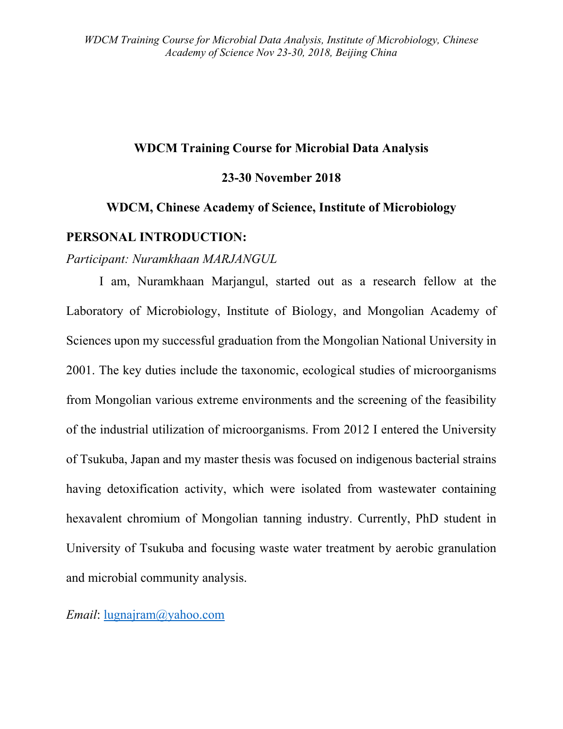### **WDCM Training Course for Microbial Data Analysis**

#### **23-30 November 2018**

# **WDCM, Chinese Academy of Science, Institute of Microbiology**

#### **PERSONAL INTRODUCTION:**

*Participant: Nuramkhaan MARJANGUL*

I am, Nuramkhaan Marjangul, started out as a research fellow at the Laboratory of Microbiology, Institute of Biology, and Mongolian Academy of Sciences upon my successful graduation from the Mongolian National University in 2001. The key duties include the taxonomic, ecological studies of microorganisms from Mongolian various extreme environments and the screening of the feasibility of the industrial utilization of microorganisms. From 2012 I entered the University of Tsukuba, Japan and my master thesis was focused on indigenous bacterial strains having detoxification activity, which were isolated from wastewater containing hexavalent chromium of Mongolian tanning industry. Currently, PhD student in University of Tsukuba and focusing waste water treatment by aerobic granulation and microbial community analysis.

*Email*: [lugnajram@yahoo.com](mailto:lugnajram@yahoo.com)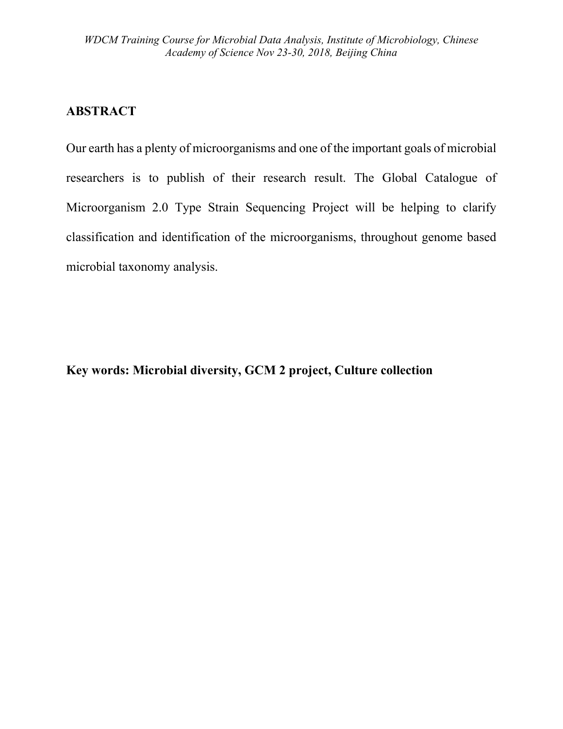### **ABSTRACT**

Our earth has a plenty of microorganisms and one of the important goals of microbial researchers is to publish of their research result. The Global Catalogue of Microorganism 2.0 Type Strain Sequencing Project will be helping to clarify classification and identification of the microorganisms, throughout genome based microbial taxonomy analysis.

## **Key words: Microbial diversity, GCM 2 project, Culture collection**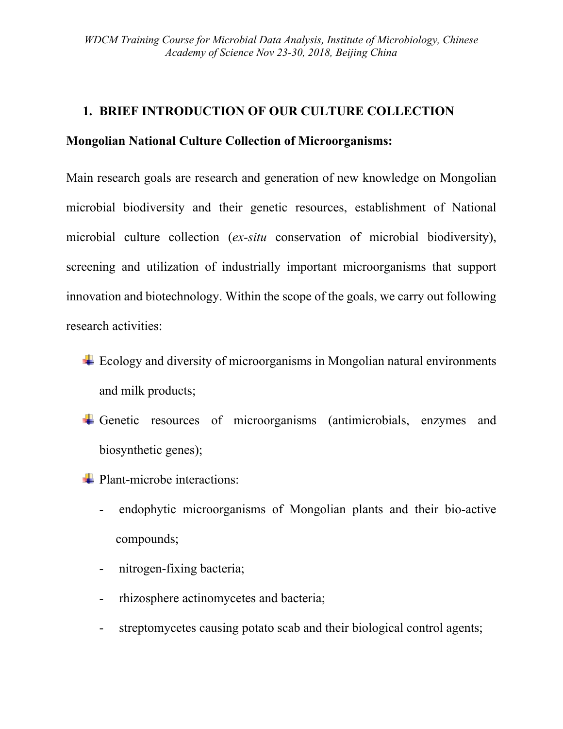### **1. BRIEF INTRODUCTION OF OUR CULTURE COLLECTION**

### **Mongolian National Culture Collection of Microorganisms:**

Main research goals are research and generation of new knowledge on Mongolian microbial biodiversity and their genetic resources, establishment of National microbial culture collection (*ex-situ* conservation of microbial biodiversity), screening and utilization of industrially important microorganisms that support innovation and biotechnology. Within the scope of the goals, we carry out following research activities:

- $\pm$  Ecology and diversity of microorganisms in Mongolian natural environments and milk products;
- Genetic resources of microorganisms (antimicrobials, enzymes and biosynthetic genes);
- **Plant-microbe interactions:** 
	- endophytic microorganisms of Mongolian plants and their bio-active compounds;
	- nitrogen-fixing bacteria;
	- rhizosphere actinomycetes and bacteria;
	- streptomycetes causing potato scab and their biological control agents;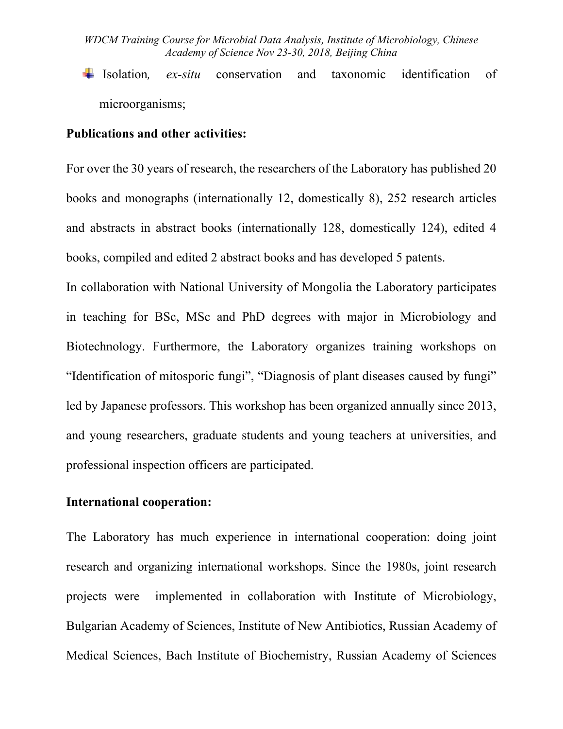*WDCM Training Course for Microbial Data Analysis, Institute of Microbiology, Chinese Academy of Science Nov 23-30, 2018, Beijing China*

Isolation*, ex-situ* conservation and taxonomic identification of microorganisms;

### **Publications and other activities:**

For over the 30 years of research, the researchers of the Laboratory has published 20 books and monographs (internationally 12, domestically 8), 252 research articles and abstracts in abstract books (internationally 128, domestically 124), edited 4 books, compiled and edited 2 abstract books and has developed 5 patents.

In collaboration with National University of Mongolia the Laboratory participates in teaching for BSc, MSc and PhD degrees with major in Microbiology and Biotechnology. Furthermore, the Laboratory organizes training workshops on "Identification of mitosporic fungi", "Diagnosis of plant diseases caused by fungi" led by Japanese professors. This workshop has been organized annually since 2013, and young researchers, graduate students and young teachers at universities, and professional inspection officers are participated.

#### **International cooperation:**

The Laboratory has much experience in international cooperation: doing joint research and organizing international workshops. Since the 1980s, joint research projects were implemented in collaboration with Institute of Microbiology, Bulgarian Academy of Sciences, Institute of New Antibiotics, Russian Academy of Medical Sciences, Bach Institute of Biochemistry, Russian Academy of Sciences